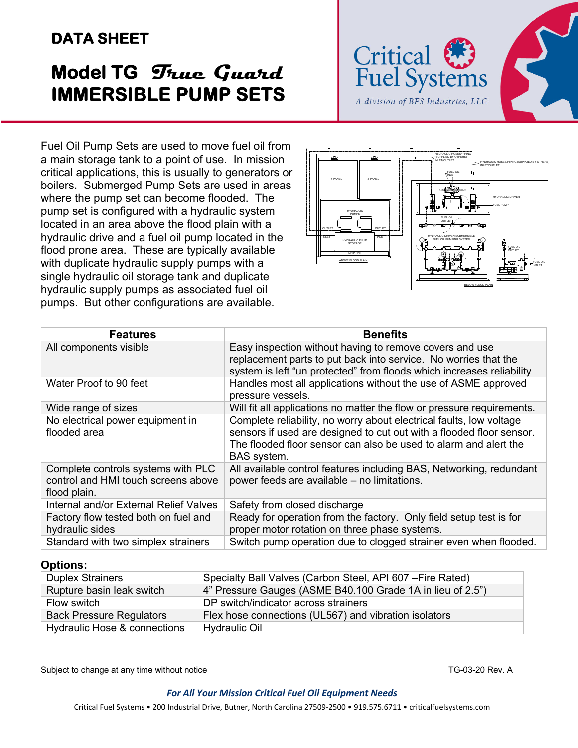# **DATA SHEET**

# **Model TG True Guard IMMERSIBLE PUMP SETS**



Fuel Oil Pump Sets are used to move fuel oil from a main storage tank to a point of use. In mission critical applications, this is usually to generators or boilers. Submerged Pump Sets are used in areas where the pump set can become flooded. The pump set is configured with a hydraulic system located in an area above the flood plain with a hydraulic drive and a fuel oil pump located in the flood prone area. These are typically available with duplicate hydraulic supply pumps with a single hydraulic oil storage tank and duplicate hydraulic supply pumps as associated fuel oil pumps. But other configurations are available.



| <b>Features</b>                                                                           | <b>Benefits</b>                                                                                                                                                                                                                |
|-------------------------------------------------------------------------------------------|--------------------------------------------------------------------------------------------------------------------------------------------------------------------------------------------------------------------------------|
| All components visible                                                                    | Easy inspection without having to remove covers and use<br>replacement parts to put back into service. No worries that the<br>system is left "un protected" from floods which increases reliability                            |
| Water Proof to 90 feet                                                                    | Handles most all applications without the use of ASME approved<br>pressure vessels.                                                                                                                                            |
| Wide range of sizes                                                                       | Will fit all applications no matter the flow or pressure requirements.                                                                                                                                                         |
| No electrical power equipment in<br>flooded area                                          | Complete reliability, no worry about electrical faults, low voltage<br>sensors if used are designed to cut out with a flooded floor sensor.<br>The flooded floor sensor can also be used to alarm and alert the<br>BAS system. |
| Complete controls systems with PLC<br>control and HMI touch screens above<br>flood plain. | All available control features including BAS, Networking, redundant<br>power feeds are available - no limitations.                                                                                                             |
| Internal and/or External Relief Valves                                                    | Safety from closed discharge                                                                                                                                                                                                   |
| Factory flow tested both on fuel and<br>hydraulic sides                                   | Ready for operation from the factory. Only field setup test is for<br>proper motor rotation on three phase systems.                                                                                                            |
| Standard with two simplex strainers                                                       | Switch pump operation due to clogged strainer even when flooded.                                                                                                                                                               |

#### **Options:**

| <b>Duplex Strainers</b>         | Specialty Ball Valves (Carbon Steel, API 607 - Fire Rated) |
|---------------------------------|------------------------------------------------------------|
| Rupture basin leak switch       | 4" Pressure Gauges (ASME B40.100 Grade 1A in lieu of 2.5") |
| Flow switch                     | DP switch/indicator across strainers                       |
| <b>Back Pressure Regulators</b> | Flex hose connections (UL567) and vibration isolators      |
| Hydraulic Hose & connections    | Hydraulic Oil                                              |

Subject to change at any time without notice TG-03-20 Rev. A

#### *For All Your Mission Critical Fuel Oil Equipment Needs*

Critical Fuel Systems • 200 Industrial Drive, Butner, North Carolina 27509-2500 • 919.575.6711 • criticalfuelsystems.com